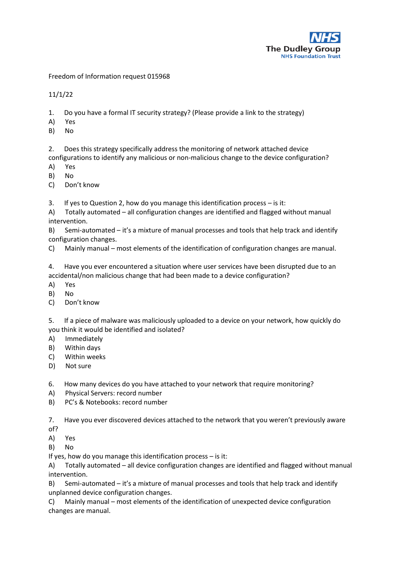

Freedom of Information request 015968

11/1/22

- 1. Do you have a formal IT security strategy? (Please provide a link to the strategy)
- A) Yes
- B) No

2. Does this strategy specifically address the monitoring of network attached device configurations to identify any malicious or non-malicious change to the device configuration?

- A) Yes
- B) No
- C) Don't know
- 3. If yes to Question 2, how do you manage this identification process is it:

A) Totally automated – all configuration changes are identified and flagged without manual intervention.

B) Semi-automated – it's a mixture of manual processes and tools that help track and identify configuration changes.

C) Mainly manual – most elements of the identification of configuration changes are manual.

4. Have you ever encountered a situation where user services have been disrupted due to an accidental/non malicious change that had been made to a device configuration?

- A) Yes
- B) No
- C) Don't know

5. If a piece of malware was maliciously uploaded to a device on your network, how quickly do you think it would be identified and isolated?

- A) Immediately
- B) Within days
- C) Within weeks
- D) Not sure

6. How many devices do you have attached to your network that require monitoring?

- A) Physical Servers: record number
- B) PC's & Notebooks: record number

7. Have you ever discovered devices attached to the network that you weren't previously aware of?

- A) Yes
- B) No

If yes, how do you manage this identification process – is it:

A) Totally automated – all device configuration changes are identified and flagged without manual intervention.

B) Semi-automated – it's a mixture of manual processes and tools that help track and identify unplanned device configuration changes.

C) Mainly manual – most elements of the identification of unexpected device configuration changes are manual.